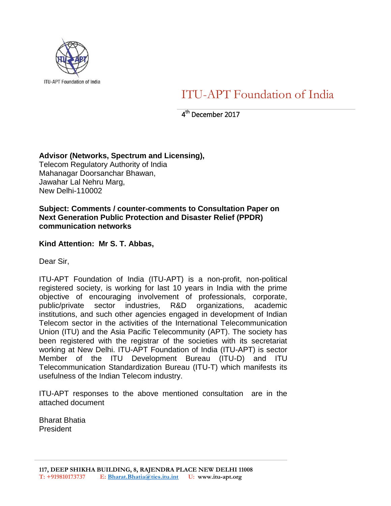

ITU-APT Foundation of India

4 th December 2017

# **Advisor (Networks, Spectrum and Licensing),**

Telecom Regulatory Authority of India Mahanagar Doorsanchar Bhawan, Jawahar Lal Nehru Marg, New Delhi-110002

## **Subject: Comments / counter-comments to Consultation Paper on Next Generation Public Protection and Disaster Relief (PPDR) communication networks**

# **Kind Attention: Mr S. T. Abbas,**

Dear Sir,

ITU-APT Foundation of India (ITU-APT) is a non-profit, non-political registered society, is working for last 10 years in India with the prime objective of encouraging involvement of professionals, corporate, public/private sector industries, R&D organizations, academic institutions, and such other agencies engaged in development of Indian Telecom sector in the activities of the International Telecommunication Union (ITU) and the Asia Pacific Telecommunity (APT). The society has been registered with the registrar of the societies with its secretariat working at New Delhi. ITU-APT Foundation of India (ITU-APT) is sector Member of the ITU Development Bureau (ITU-D) and ITU Telecommunication Standardization Bureau (ITU-T) which manifests its usefulness of the Indian Telecom industry.

ITU-APT responses to the above mentioned consultation are in the attached document

Bharat Bhatia President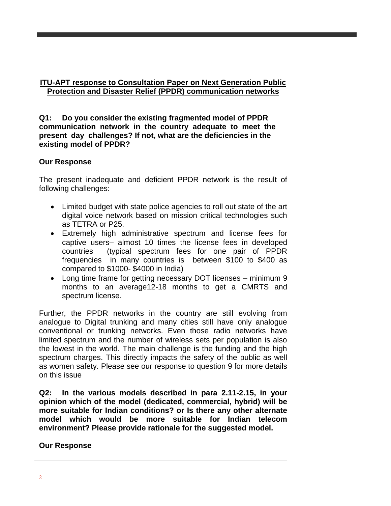## **ITU-APT response to Consultation Paper on Next Generation Public Protection and Disaster Relief (PPDR) communication networks**

**Q1: Do you consider the existing fragmented model of PPDR communication network in the country adequate to meet the present day challenges? If not, what are the deficiencies in the existing model of PPDR?**

# **Our Response**

The present inadequate and deficient PPDR network is the result of following challenges:

- Limited budget with state police agencies to roll out state of the art digital voice network based on mission critical technologies such as TETRA or P25.
- Extremely high administrative spectrum and license fees for captive users– almost 10 times the license fees in developed countries (typical spectrum fees for one pair of PPDR frequencies in many countries is between \$100 to \$400 as compared to \$1000- \$4000 in India)
- Long time frame for getting necessary DOT licenses minimum 9 months to an average12-18 months to get a CMRTS and spectrum license.

Further, the PPDR networks in the country are still evolving from analogue to Digital trunking and many cities still have only analogue conventional or trunking networks. Even those radio networks have limited spectrum and the number of wireless sets per population is also the lowest in the world. The main challenge is the funding and the high spectrum charges. This directly impacts the safety of the public as well as women safety. Please see our response to question 9 for more details on this issue

**Q2: In the various models described in para 2.11-2.15, in your opinion which of the model (dedicated, commercial, hybrid) will be more suitable for Indian conditions? or Is there any other alternate model which would be more suitable for Indian telecom environment? Please provide rationale for the suggested model.** 

## **Our Response**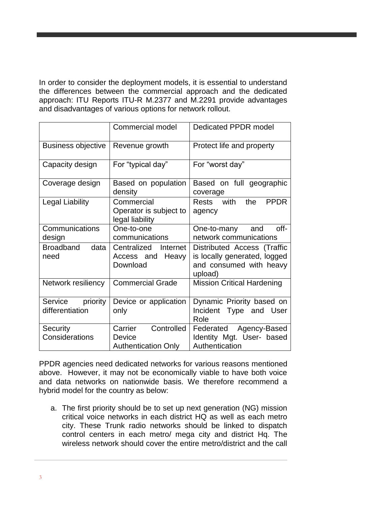In order to consider the deployment models, it is essential to understand the differences between the commercial approach and the dedicated approach: ITU Reports ITU-R M.2377 and M.2291 provide advantages and disadvantages of various options for network rollout.

|                                        | <b>Commercial model</b>                                       | Dedicated PPDR model                                                                              |  |  |
|----------------------------------------|---------------------------------------------------------------|---------------------------------------------------------------------------------------------------|--|--|
| <b>Business objective</b>              | Revenue growth                                                | Protect life and property                                                                         |  |  |
| Capacity design                        | For "typical day"                                             | For "worst day"                                                                                   |  |  |
| Coverage design                        | Based on population<br>density                                | Based on full geographic<br>coverage                                                              |  |  |
| <b>Legal Liability</b>                 | Commercial<br>Operator is subject to<br>legal liability       | Rests with<br>the<br><b>PPDR</b><br>agency                                                        |  |  |
| Communications<br>design               | One-to-one<br>communications                                  | off-<br>One-to-many and<br>network communications                                                 |  |  |
| Broadband<br>data<br>need              | Centralized<br>Internet<br>Heavy<br>Access and<br>Download    | Distributed Access (Traffic<br>is locally generated, logged<br>and consumed with heavy<br>upload) |  |  |
| Network resiliency                     | <b>Commercial Grade</b>                                       | <b>Mission Critical Hardening</b>                                                                 |  |  |
| Service<br>priority<br>differentiation | Device or application<br>only                                 | Dynamic Priority based on<br>Incident Type<br>and<br>User<br>Role                                 |  |  |
| Security<br>Considerations             | Controlled<br>Carrier<br>Device<br><b>Authentication Only</b> | Federated Agency-Based<br>Identity Mgt. User- based<br>Authentication                             |  |  |

PPDR agencies need dedicated networks for various reasons mentioned above. However, it may not be economically viable to have both voice and data networks on nationwide basis. We therefore recommend a hybrid model for the country as below:

a. The first priority should be to set up next generation (NG) mission critical voice networks in each district HQ as well as each metro city. These Trunk radio networks should be linked to dispatch control centers in each metro/ mega city and district Hq. The wireless network should cover the entire metro/district and the call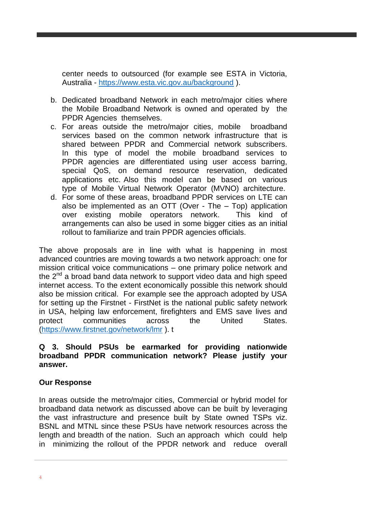center needs to outsourced (for example see ESTA in Victoria, Australia - <https://www.esta.vic.gov.au/background> ).

- b. Dedicated broadband Network in each metro/major cities where the Mobile Broadband Network is owned and operated by the PPDR Agencies themselves.
- c. For areas outside the metro/major cities, mobile broadband services based on the common network infrastructure that is shared between PPDR and Commercial network subscribers. In this type of model the mobile broadband services to PPDR agencies are differentiated using user access barring, special QoS, on demand resource reservation, dedicated applications etc. Also this model can be based on various type of Mobile Virtual Network Operator (MVNO) architecture.
- d. For some of these areas, broadband PPDR services on LTE can also be implemented as an OTT (Over - The – Top) application over existing mobile operators network. This kind of arrangements can also be used in some bigger cities as an initial rollout to familiarize and train PPDR agencies officials.

The above proposals are in line with what is happening in most advanced countries are moving towards a two network approach: one for mission critical voice communications – one primary police network and the 2<sup>nd</sup> a broad band data network to support video data and high speed internet access. To the extent economically possible this network should also be mission critical. For example see the approach adopted by USA for setting up the Firstnet - FirstNet is the national public safety network in USA, helping law enforcement, firefighters and EMS save lives and protect communities across the United States. [\(https://www.firstnet.gov/network/lmr](https://www.firstnet.gov/network/lmr) ). t

#### **Q 3. Should PSUs be earmarked for providing nationwide broadband PPDR communication network? Please justify your answer.**

## **Our Response**

In areas outside the metro/major cities, Commercial or hybrid model for broadband data network as discussed above can be built by leveraging the vast infrastructure and presence built by State owned TSPs viz. BSNL and MTNL since these PSUs have network resources across the length and breadth of the nation. Such an approach which could help in minimizing the rollout of the PPDR network and reduce overall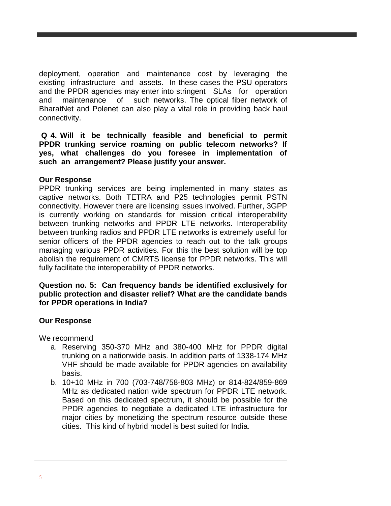deployment, operation and maintenance cost by leveraging the existing infrastructure and assets. In these cases the PSU operators and the PPDR agencies may enter into stringent SLAs for operation and maintenance of such networks. The optical fiber network of BharatNet and Polenet can also play a vital role in providing back haul connectivity.

**Q 4. Will it be technically feasible and beneficial to permit PPDR trunking service roaming on public telecom networks? If yes, what challenges do you foresee in implementation of such an arrangement? Please justify your answer.**

#### **Our Response**

PPDR trunking services are being implemented in many states as captive networks. Both TETRA and P25 technologies permit PSTN connectivity. However there are licensing issues involved. Further, 3GPP is currently working on standards for mission critical interoperability between trunking networks and PPDR LTE networks. Interoperability between trunking radios and PPDR LTE networks is extremely useful for senior officers of the PPDR agencies to reach out to the talk groups managing various PPDR activities. For this the best solution will be top abolish the requirement of CMRTS license for PPDR networks. This will fully facilitate the interoperability of PPDR networks.

#### **Question no. 5: Can frequency bands be identified exclusively for public protection and disaster relief? What are the candidate bands for PPDR operations in India?**

## **Our Response**

We recommend

- a. Reserving 350-370 MHz and 380-400 MHz for PPDR digital trunking on a nationwide basis. In addition parts of 1338-174 MHz VHF should be made available for PPDR agencies on availability basis.
- b. 10+10 MHz in 700 (703-748/758-803 MHz) or 814-824/859-869 MHz as dedicated nation wide spectrum for PPDR LTE network. Based on this dedicated spectrum, it should be possible for the PPDR agencies to negotiate a dedicated LTE infrastructure for major cities by monetizing the spectrum resource outside these cities. This kind of hybrid model is best suited for India.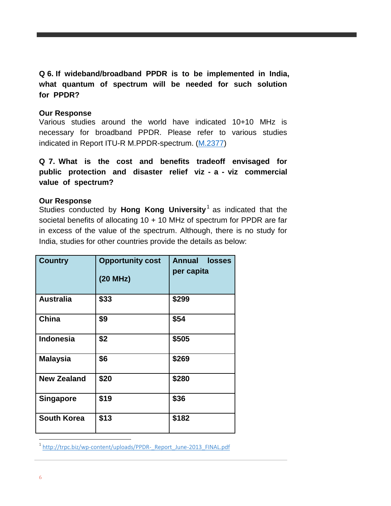**Q 6. If wideband/broadband PPDR is to be implemented in India, what quantum of spectrum will be needed for such solution for PPDR?** 

#### **Our Response**

Various studies around the world have indicated 10+10 MHz is necessary for broadband PPDR. Please refer to various studies indicated in Report ITU-R M.PPDR-spectrum. [\(M.2377\)](http://www.itu.int/pub/publications.aspx?lang=en&parent=R-REP-M.2377-2015)

**Q 7. What is the cost and benefits tradeoff envisaged for public protection and disaster relief viz - a - viz commercial value of spectrum?** 

#### **Our Response**

Studies conducted by **Hong Kong University**<sup>1</sup> as indicated that the societal benefits of allocating 10 + 10 MHz of spectrum for PPDR are far in excess of the value of the spectrum. Although, there is no study for India, studies for other countries provide the details as below:

| <b>Country</b>     | <b>Opportunity cost</b><br>(20 MHz) | <b>Annual losses</b><br>per capita |  |  |
|--------------------|-------------------------------------|------------------------------------|--|--|
| <b>Australia</b>   | \$33                                | \$299                              |  |  |
| China              | \$9                                 | \$54                               |  |  |
| <b>Indonesia</b>   | \$2                                 | \$505                              |  |  |
| <b>Malaysia</b>    | \$6                                 | \$269                              |  |  |
| <b>New Zealand</b> | \$20                                | \$280                              |  |  |
| <b>Singapore</b>   | \$19                                | \$36                               |  |  |
| <b>South Korea</b> | \$13                                | \$182                              |  |  |

<sup>1</sup> [http://trpc.biz/wp-content/uploads/PPDR-\\_Report\\_June-2013\\_FINAL.pdf](http://trpc.biz/wp-content/uploads/PPDR-_Report_June-2013_FINAL.pdf)

 $\overline{a}$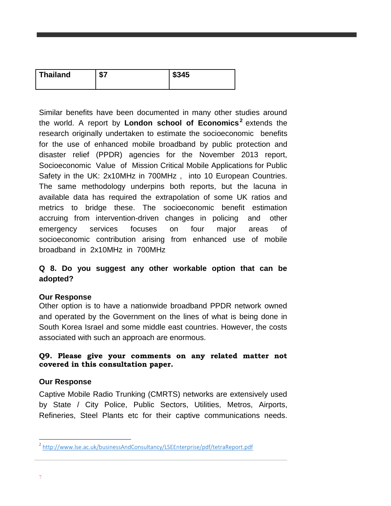| <b>Thailand</b> | e-<br>ъ. | \$345 |
|-----------------|----------|-------|
|                 |          |       |

Similar benefits have been documented in many other studies around the world. A report by **London school of Economics<sup>2</sup>** extends the research originally undertaken to estimate the socioeconomic benefits for the use of enhanced mobile broadband by public protection and disaster relief (PPDR) agencies for the November 2013 report, Socioeconomic Value of Mission Critical Mobile Applications for Public Safety in the UK: 2x10MHz in 700MHz , into 10 European Countries. The same methodology underpins both reports, but the lacuna in available data has required the extrapolation of some UK ratios and metrics to bridge these. The socioeconomic benefit estimation accruing from intervention-driven changes in policing and other emergency services focuses on four major areas of socioeconomic contribution arising from enhanced use of mobile broadband in 2x10MHz in 700MHz

# **Q 8. Do you suggest any other workable option that can be adopted?**

## **Our Response**

Other option is to have a nationwide broadband PPDR network owned and operated by the Government on the lines of what is being done in South Korea Israel and some middle east countries. However, the costs associated with such an approach are enormous.

# **Q9. Please give your comments on any related matter not covered in this consultation paper.**

# **Our Response**

Captive Mobile Radio Trunking (CMRTS) networks are extensively used by State / City Police, Public Sectors, Utilities, Metros, Airports, Refineries, Steel Plants etc for their captive communications needs.

 2 <http://www.lse.ac.uk/businessAndConsultancy/LSEEnterprise/pdf/tetraReport.pdf>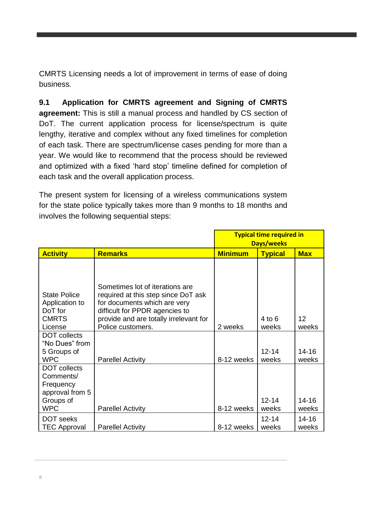CMRTS Licensing needs a lot of improvement in terms of ease of doing business.

**9.1 Application for CMRTS agreement and Signing of CMRTS agreement:** This is still a manual process and handled by CS section of DoT. The current application process for license/spectrum is quite lengthy, iterative and complex without any fixed timelines for completion of each task. There are spectrum/license cases pending for more than a year. We would like to recommend that the process should be reviewed and optimized with a fixed 'hard stop' timeline defined for completion of each task and the overall application process.

The present system for licensing of a wireless communications system for the state police typically takes more than 9 months to 18 months and involves the following sequential steps:

|                                                                                                    |                                                                                                                                                                                                         | <b>Typical time required in</b><br><b>Days/weeks</b> |                     |                          |
|----------------------------------------------------------------------------------------------------|---------------------------------------------------------------------------------------------------------------------------------------------------------------------------------------------------------|------------------------------------------------------|---------------------|--------------------------|
| <b>Activity</b>                                                                                    | <b>Remarks</b>                                                                                                                                                                                          | <b>Minimum</b>                                       | <b>Typical</b>      | <b>Max</b>               |
| <b>State Police</b><br>Application to<br>DoT for<br><b>CMRTS</b><br>License<br><b>DOT</b> collects | Sometimes lot of iterations are<br>required at this step since DoT ask<br>for documents which are very<br>difficult for PPDR agencies to<br>provide and are totally irrelevant for<br>Police customers. | 2 weeks                                              | $4$ to $6$<br>weeks | 12 <sup>2</sup><br>weeks |
| "No Dues" from<br>5 Groups of<br><b>WPC</b>                                                        | <b>Parellel Activity</b>                                                                                                                                                                                | 8-12 weeks                                           | $12 - 14$<br>weeks  | $14 - 16$<br>weeks       |
| <b>DOT</b> collects<br>Comments/<br>Frequency<br>approval from 5<br>Groups of<br><b>WPC</b>        | <b>Parellel Activity</b>                                                                                                                                                                                | 8-12 weeks                                           | $12 - 14$<br>weeks  | 14-16<br>weeks           |
| DOT seeks<br><b>TEC Approval</b>                                                                   | <b>Parellel Activity</b>                                                                                                                                                                                | 8-12 weeks                                           | $12 - 14$<br>weeks  | $14 - 16$<br>weeks       |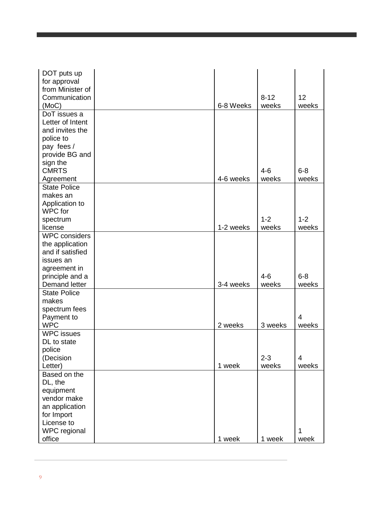| DOT puts up              |           |                  |                 |
|--------------------------|-----------|------------------|-----------------|
| for approval             |           |                  |                 |
| from Minister of         |           |                  |                 |
| Communication            |           | $8 - 12$         | 12 <sup>2</sup> |
| (MoC)                    | 6-8 Weeks | weeks            | weeks           |
| DoT issues a             |           |                  |                 |
| Letter of Intent         |           |                  |                 |
| and invites the          |           |                  |                 |
| police to                |           |                  |                 |
| pay fees /               |           |                  |                 |
| provide BG and           |           |                  |                 |
| sign the                 |           |                  |                 |
| <b>CMRTS</b>             |           | $4 - 6$          | $6 - 8$         |
| Agreement                | 4-6 weeks | weeks            | weeks           |
| <b>State Police</b>      |           |                  |                 |
| makes an                 |           |                  |                 |
| Application to           |           |                  |                 |
| WPC for                  |           |                  |                 |
| spectrum                 |           | $1 - 2$          | $1 - 2$         |
| license                  | 1-2 weeks | weeks            | weeks           |
| <b>WPC</b> considers     |           |                  |                 |
| the application          |           |                  |                 |
| and if satisfied         |           |                  |                 |
| issues an                |           |                  |                 |
| agreement in             |           |                  |                 |
| principle and a          |           | $4 - 6$          | $6 - 8$         |
| Demand letter            | 3-4 weeks | weeks            | weeks           |
| <b>State Police</b>      |           |                  |                 |
| makes                    |           |                  |                 |
| spectrum fees            |           |                  |                 |
|                          |           |                  | $\overline{4}$  |
| Payment to<br><b>WPC</b> | 2 weeks   |                  |                 |
| <b>WPC</b> issues        |           | 3 weeks          | weeks           |
| DL to state              |           |                  |                 |
|                          |           |                  |                 |
| police                   |           |                  |                 |
| (Decision                |           | $2 - 3$<br>weeks | 4<br>weeks      |
| Letter)                  | 1 week    |                  |                 |
| Based on the             |           |                  |                 |
| DL, the                  |           |                  |                 |
| equipment                |           |                  |                 |
| vendor make              |           |                  |                 |
| an application           |           |                  |                 |
| for Import               |           |                  |                 |
| License to               |           |                  |                 |
| WPC regional             |           |                  | 1               |
| office                   | 1 week    | 1 week           | week            |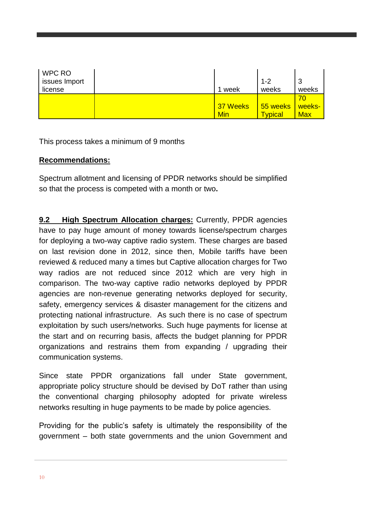| WPC RO<br>issues Import |          | $1 - 2$        | 3          |
|-------------------------|----------|----------------|------------|
| license                 | week     | weeks          | weeks      |
|                         |          |                | 70         |
|                         | 37 Weeks | 55 weeks       | weeks-     |
|                         | Min      | <u>Tvpical</u> | <b>Max</b> |

This process takes a minimum of 9 months

# **Recommendations:**

Spectrum allotment and licensing of PPDR networks should be simplified so that the process is competed with a month or two**.**

**9.2 High Spectrum Allocation charges:** Currently, PPDR agencies have to pay huge amount of money towards license/spectrum charges for deploying a two-way captive radio system. These charges are based on last revision done in 2012, since then, Mobile tariffs have been reviewed & reduced many a times but Captive allocation charges for Two way radios are not reduced since 2012 which are very high in comparison. The two-way captive radio networks deployed by PPDR agencies are non-revenue generating networks deployed for security, safety, emergency services & disaster management for the citizens and protecting national infrastructure. As such there is no case of spectrum exploitation by such users/networks. Such huge payments for license at the start and on recurring basis, affects the budget planning for PPDR organizations and restrains them from expanding / upgrading their communication systems.

Since state PPDR organizations fall under State government, appropriate policy structure should be devised by DoT rather than using the conventional charging philosophy adopted for private wireless networks resulting in huge payments to be made by police agencies.

Providing for the public's safety is ultimately the responsibility of the government – both state governments and the union Government and